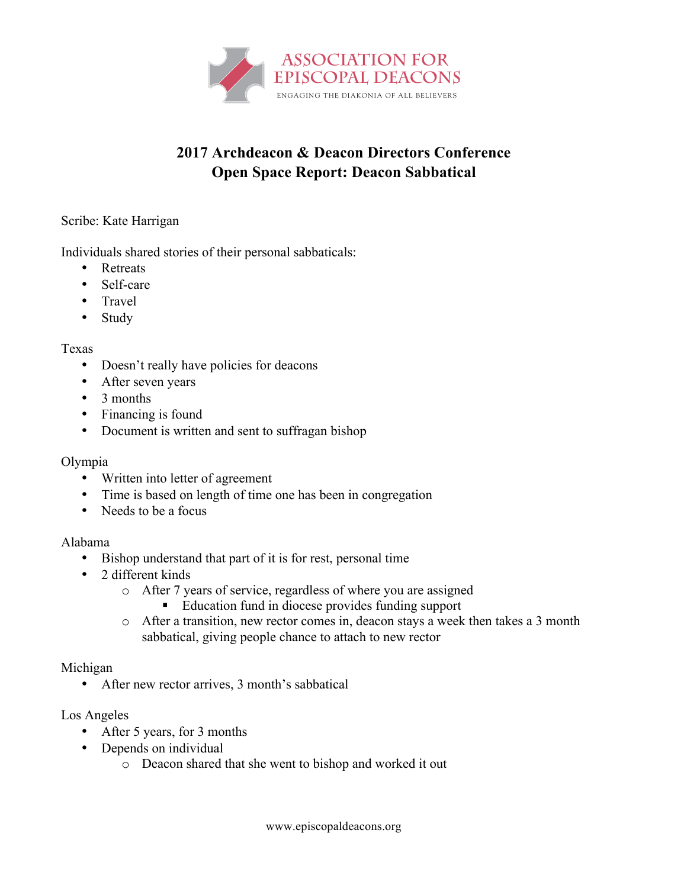

# **2017 Archdeacon & Deacon Directors Conference Open Space Report: Deacon Sabbatical**

### Scribe: Kate Harrigan

Individuals shared stories of their personal sabbaticals:

- Retreats
- Self-care
- Travel
- Study

### Texas

- Doesn't really have policies for deacons
- After seven years
- 3 months
- Financing is found
- Document is written and sent to suffragan bishop

### Olympia

- Written into letter of agreement
- Time is based on length of time one has been in congregation
- Needs to be a focus

### Alabama

- Bishop understand that part of it is for rest, personal time
- 2 different kinds
	- o After 7 years of service, regardless of where you are assigned
		- Education fund in diocese provides funding support
	- o After a transition, new rector comes in, deacon stays a week then takes a 3 month sabbatical, giving people chance to attach to new rector

### Michigan

• After new rector arrives, 3 month's sabbatical

## Los Angeles

- After 5 years, for 3 months
- Depends on individual
	- o Deacon shared that she went to bishop and worked it out